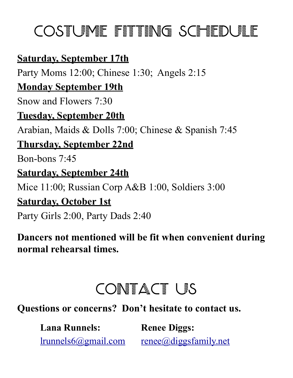# COSTUME FITTING SCHEDULE

### **Saturday, September 17th**

Party Moms 12:00; Chinese 1:30; Angels 2:15

### **Monday September 19th**

Snow and Flowers 7:30

### **Tuesday, September 20th**

Arabian, Maids & Dolls 7:00; Chinese & Spanish 7:45

### **Thursday, September 22nd**

Bon-bons 7:45

### **Saturday, September 24th**

Mice 11:00; Russian Corp A&B 1:00, Soldiers 3:00

#### **Saturday, October 1st**

Party Girls 2:00, Party Dads 2:40

### **Dancers not mentioned will be fit when convenient during normal rehearsal times.**

# CONTACT US

**Questions or concerns? Don't hesitate to contact us.** 

| <b>Lana Runnels:</b> | <b>Renee Diggs:</b>             |
|----------------------|---------------------------------|
| Irunnels6@gmail.com  | $renee(\omega)$ diggsfamily.net |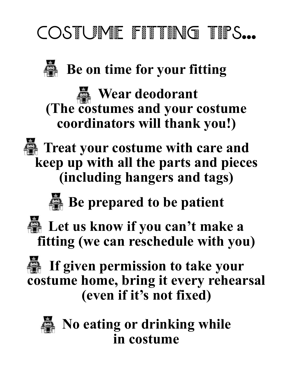# COSTUME FITTING TIPS...



**Be on time for your fitting** 

*<u> Wear deodorant</u>* **(The costumes and your costume coordinators will thank you!)** 



**Theat your costume with care and keep up with all the parts and pieces (including hangers and tags)** 

**Be prepared to be patient** 



**Let us know if you can't make a fitting (we can reschedule with you)** 

**If given permission to take your costume home, bring it every rehearsal (even if it's not fixed)** 



**EXECUTE:** No eating or drinking while **in costume**